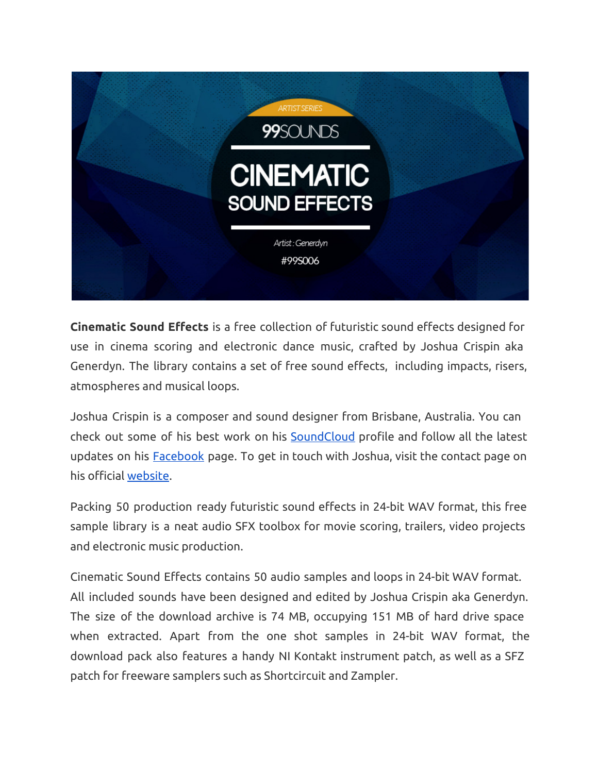

**Cinematic Sound Effects** is a free collection of futuristic sound effects designed for use in cinema scoring and electronic dance music, crafted by Joshua Crispin aka Generdyn. The library contains a set of free sound effects, including impacts, risers, atmospheres and musical loops.

Joshua Crispin is a composer and sound designer from Brisbane, Australia. You can check out some of his best work on his **[SoundCloud](https://www.google.com/url?q=https%3A%2F%2Fsoundcloud.com%2Fgenerdyn%2F&sa=D&sntz=1&usg=AFQjCNEZh0J4rHqHZHePR7LgDaxGnX4Y1Q)** profile and follow all the latest updates on his [Facebook](https://www.google.com/url?q=https%3A%2F%2Fwww.facebook.com%2Fgenerdynmusic&sa=D&sntz=1&usg=AFQjCNGJ2TjXZB76qUE29F98zeptHjturw) page. To get in touch with Joshua, visit the contact page on his official [website.](http://www.google.com/url?q=http%3A%2F%2Fgenerdynmusic.com%2Fportfolio.html&sa=D&sntz=1&usg=AFQjCNG1iskRDRi-4lpColz0O4cGUKayXQ)

Packing 50 production ready futuristic sound effects in 24-bit WAV format, this free sample library is a neat audio SFX toolbox for movie scoring, trailers, video projects and electronic music production.

Cinematic Sound Effects contains 50 audio samples and loops in 24-bit WAV format. All included sounds have been designed and edited by Joshua Crispin aka Generdyn. The size of the download archive is 74 MB, occupying 151 MB of hard drive space when extracted. Apart from the one shot samples in 24-bit WAV format, the download pack also features a handy NI Kontakt instrument patch, as well as a SFZ patch for freeware samplers such as Shortcircuit and Zampler.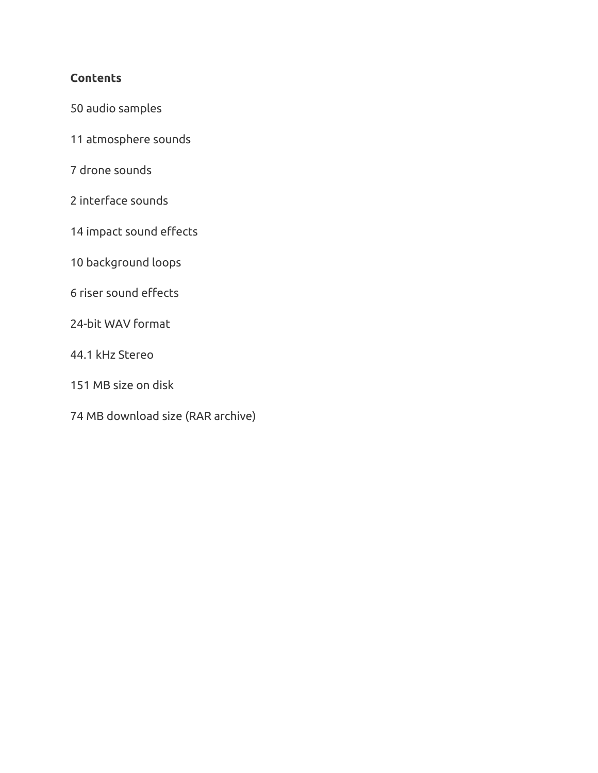## **Contents**

- audio samples
- atmosphere sounds
- drone sounds
- interface sounds
- impact sound effects
- background loops
- riser sound effects
- 24-bit WAV format
- 44.1 kHz Stereo
- MB size on disk
- MB download size (RAR archive)